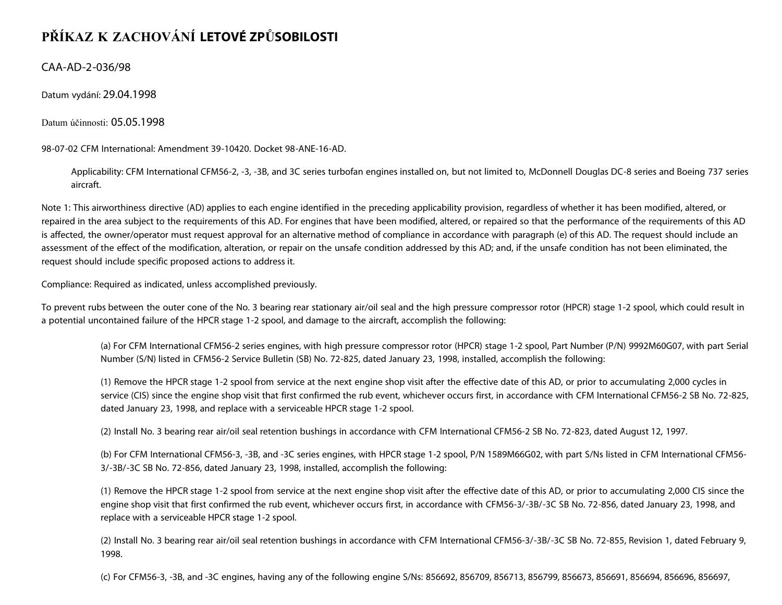## **PŘÍKAZ K ZACHOVÁNÍ LETOVÉ ZPŮSOBILOSTI**

CAA-AD-2-036/98

Datum vydání: 29.04.1998

Datum účinnosti: 05.05.1998

98-07-02 CFM International: Amendment 39-10420. Docket 98-ANE-16-AD.

Applicability: CFM International CFM56-2, -3, -3B, and 3C series turbofan engines installed on, but not limited to, McDonnell Douglas DC-8 series and Boeing 737 series aircraft.

Note 1: This airworthiness directive (AD) applies to each engine identified in the preceding applicability provision, regardless of whether it has been modified, altered, or repaired in the area subject to the requirements of this AD. For engines that have been modified, altered, or repaired so that the performance of the requirements of this AD is affected, the owner/operator must request approval for an alternative method of compliance in accordance with paragraph (e) of this AD. The request should include an assessment of the effect of the modification, alteration, or repair on the unsafe condition addressed by this AD; and, if the unsafe condition has not been eliminated, the request should include specific proposed actions to address it.

Compliance: Required as indicated, unless accomplished previously.

To prevent rubs between the outer cone of the No. 3 bearing rear stationary air/oil seal and the high pressure compressor rotor (HPCR) stage 1-2 spool, which could result in a potential uncontained failure of the HPCR stage 1-2 spool, and damage to the aircraft, accomplish the following:

(a) For CFM International CFM56-2 series engines, with high pressure compressor rotor (HPCR) stage 1-2 spool, Part Number (P/N) 9992M60G07, with part Serial Number (S/N) listed in CFM56-2 Service Bulletin (SB) No. 72-825, dated January 23, 1998, installed, accomplish the following:

(1) Remove the HPCR stage 1-2 spool from service at the next engine shop visit after the effective date of this AD, or prior to accumulating 2,000 cycles in service (CIS) since the engine shop visit that first confirmed the rub event, whichever occurs first, in accordance with CFM International CFM56-2 SB No. 72-825, dated January 23, 1998, and replace with a serviceable HPCR stage 1-2 spool.

(2) Install No. 3 bearing rear air/oil seal retention bushings in accordance with CFM International CFM56-2 SB No. 72-823, dated August 12, 1997.

(b) For CFM International CFM56-3, -3B, and -3C series engines, with HPCR stage 1-2 spool, P/N 1589M66G02, with part S/Ns listed in CFM International CFM56- 3/-3B/-3C SB No. 72-856, dated January 23, 1998, installed, accomplish the following:

(1) Remove the HPCR stage 1-2 spool from service at the next engine shop visit after the effective date of this AD, or prior to accumulating 2,000 CIS since the engine shop visit that first confirmed the rub event, whichever occurs first, in accordance with CFM56-3/-3B/-3C SB No. 72-856, dated January 23, 1998, and replace with a serviceable HPCR stage 1-2 spool.

(2) Install No. 3 bearing rear air/oil seal retention bushings in accordance with CFM International CFM56-3/-3B/-3C SB No. 72-855, Revision 1, dated February 9, 1998.

(c) For CFM56-3, -3B, and -3C engines, having any of the following engine S/Ns: 856692, 856709, 856713, 856799, 856673, 856691, 856694, 856696, 856697,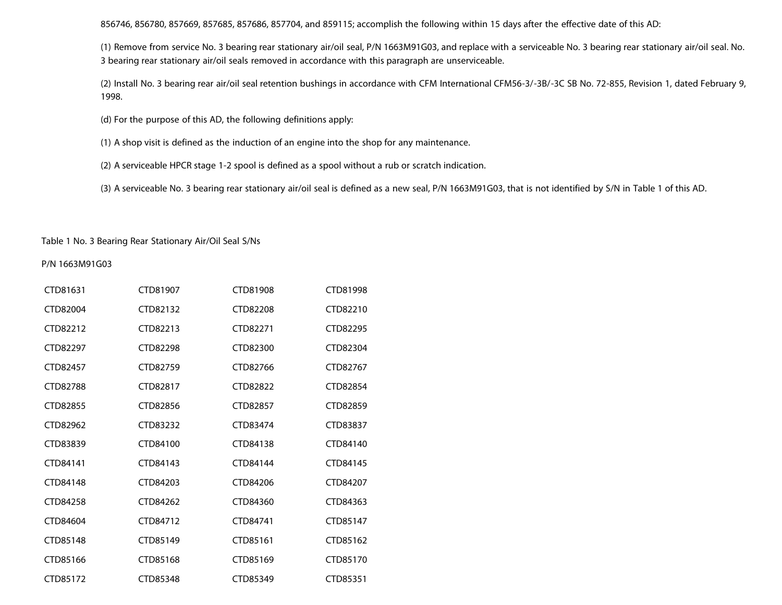856746, 856780, 857669, 857685, 857686, 857704, and 859115; accomplish the following within 15 days after the effective date of this AD:

(1) Remove from service No. 3 bearing rear stationary air/oil seal, P/N 1663M91G03, and replace with a serviceable No. 3 bearing rear stationary air/oil seal. No. 3 bearing rear stationary air/oil seals removed in accordance with this paragraph are unserviceable.

(2) Install No. 3 bearing rear air/oil seal retention bushings in accordance with CFM International CFM56-3/-3B/-3C SB No. 72-855, Revision 1, dated February 9, 1998.

(d) For the purpose of this AD, the following definitions apply:

(1) A shop visit is defined as the induction of an engine into the shop for any maintenance.

(2) A serviceable HPCR stage 1-2 spool is defined as a spool without a rub or scratch indication.

(3) A serviceable No. 3 bearing rear stationary air/oil seal is defined as a new seal, P/N 1663M91G03, that is not identified by S/N in Table 1 of this AD.

## Table 1 No. 3 Bearing Rear Stationary Air/Oil Seal S/Ns

## P/N 1663M91G03

| CTD81631 | CTD81907 | CTD81908 | CTD81998 |
|----------|----------|----------|----------|
| CTD82004 | CTD82132 | CTD82208 | CTD82210 |
| CTD82212 | CTD82213 | CTD82271 | CTD82295 |
| CTD82297 | CTD82298 | CTD82300 | CTD82304 |
| CTD82457 | CTD82759 | CTD82766 | CTD82767 |
| CTD82788 | CTD82817 | CTD82822 | CTD82854 |
| CTD82855 | CTD82856 | CTD82857 | CTD82859 |
| CTD82962 | CTD83232 | CTD83474 | CTD83837 |
| CTD83839 | CTD84100 | CTD84138 | CTD84140 |
| CTD84141 | CTD84143 | CTD84144 | CTD84145 |
| CTD84148 | CTD84203 | CTD84206 | CTD84207 |
| CTD84258 | CTD84262 | CTD84360 | CTD84363 |
| CTD84604 | CTD84712 | CTD84741 | CTD85147 |
| CTD85148 | CTD85149 | CTD85161 | CTD85162 |
| CTD85166 | CTD85168 | CTD85169 | CTD85170 |
| CTD85172 | CTD85348 | CTD85349 | CTD85351 |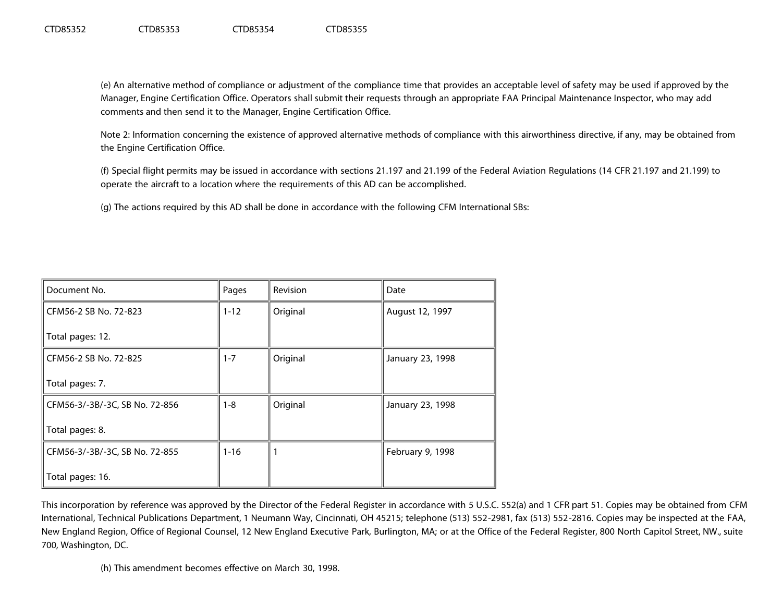(e) An alternative method of compliance or adjustment of the compliance time that provides an acceptable level of safety may be used if approved by the Manager, Engine Certification Office. Operators shall submit their requests through an appropriate FAA Principal Maintenance Inspector, who may add comments and then send it to the Manager, Engine Certification Office.

Note 2: Information concerning the existence of approved alternative methods of compliance with this airworthiness directive, if any, may be obtained from the Engine Certification Office.

(f) Special flight permits may be issued in accordance with sections 21.197 and 21.199 of the Federal Aviation Regulations (14 CFR 21.197 and 21.199) to operate the aircraft to a location where the requirements of this AD can be accomplished.

(g) The actions required by this AD shall be done in accordance with the following CFM International SBs:

| Document No.                   | Pages    | Revision | Date             |
|--------------------------------|----------|----------|------------------|
| CFM56-2 SB No. 72-823          | $1 - 12$ | Original | August 12, 1997  |
| Total pages: 12.               |          |          |                  |
| CFM56-2 SB No. 72-825          | 1-7      | Original | January 23, 1998 |
| Total pages: 7.                |          |          |                  |
| CFM56-3/-3B/-3C, SB No. 72-856 | 1-8      | Original | January 23, 1998 |
| Total pages: 8.                |          |          |                  |
| CFM56-3/-3B/-3C, SB No. 72-855 | $1 - 16$ |          | February 9, 1998 |
| Total pages: 16.               |          |          |                  |

This incorporation by reference was approved by the Director of the Federal Register in accordance with 5 U.S.C. 552(a) and 1 CFR part 51. Copies may be obtained from CFM International, Technical Publications Department, 1 Neumann Way, Cincinnati, OH 45215; telephone (513) 552-2981, fax (513) 552-2816. Copies may be inspected at the FAA, New England Region, Office of Regional Counsel, 12 New England Executive Park, Burlington, MA; or at the Office of the Federal Register, 800 North Capitol Street, NW., suite 700, Washington, DC.

(h) This amendment becomes effective on March 30, 1998.